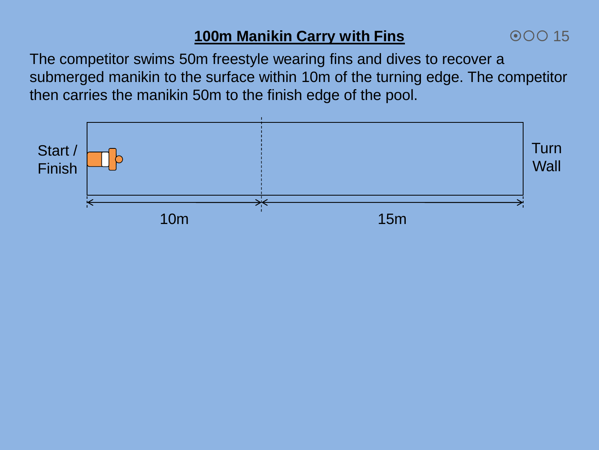# **100m Manikin Carry with Fins**

00015

The competitor swims 50m freestyle wearing fins and dives to recover a submerged manikin to the surface within 10m of the turning edge. The competitor then carries the manikin 50m to the finish edge of the pool.

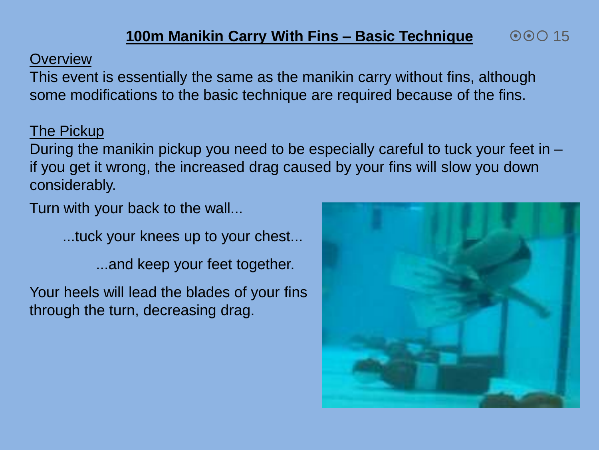#### **Overview**

This event is essentially the same as the manikin carry without fins, although some modifications to the basic technique are required because of the fins.

### The Pickup

During the manikin pickup you need to be especially careful to tuck your feet in – if you get it wrong, the increased drag caused by your fins will slow you down considerably.

Turn with your back to the wall...

...tuck your knees up to your chest...

...and keep your feet together.

Your heels will lead the blades of your fins through the turn, decreasing drag.